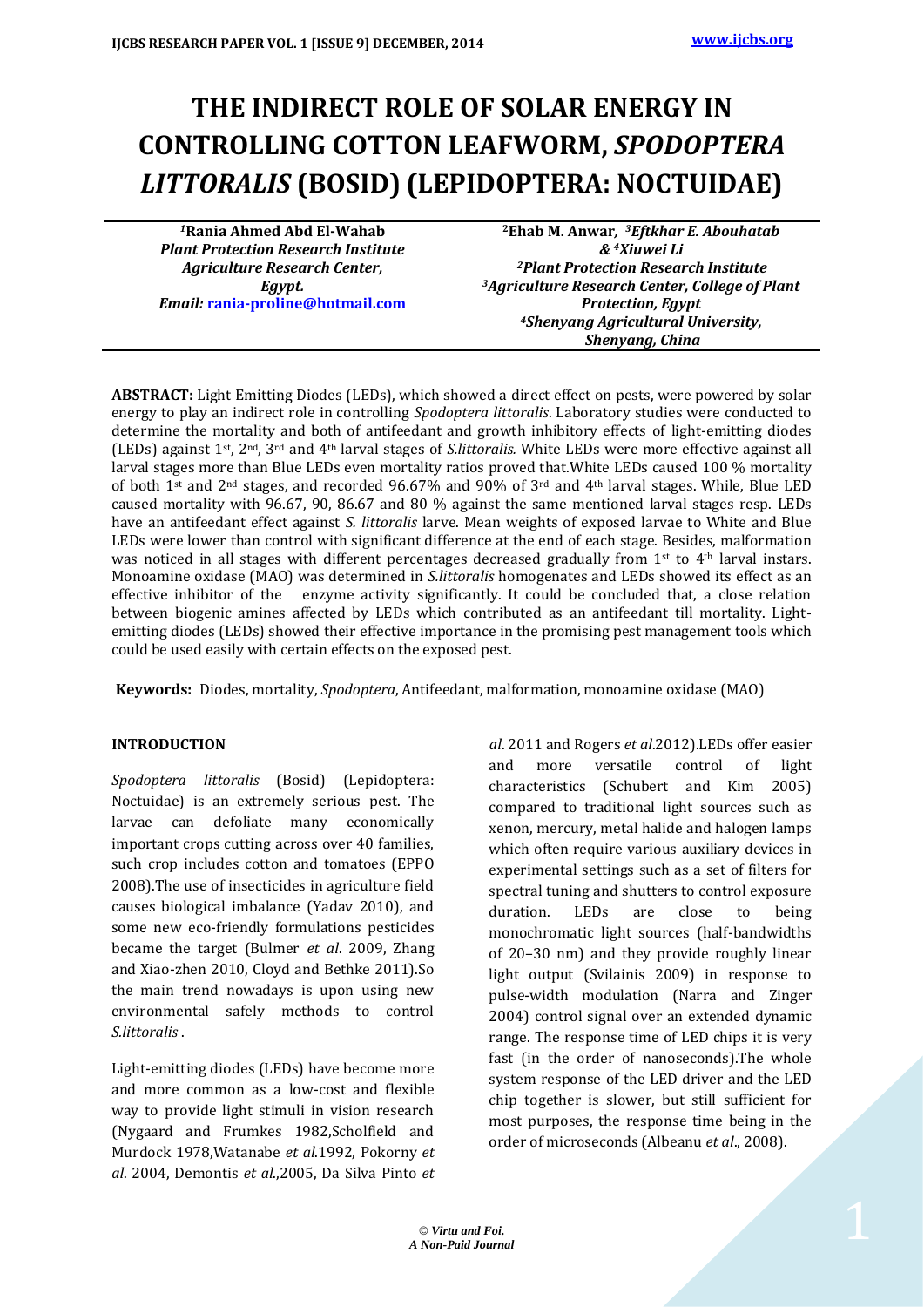# **THE INDIRECT ROLE OF SOLAR ENERGY IN CONTROLLING COTTON LEAFWORM,** *SPODOPTERA LITTORALIS* **(BOSID) (LEPIDOPTERA: NOCTUIDAE)**

*<sup>1</sup>***Rania Ahmed Abd El-Wahab** *Plant Protection Research Institute Agriculture Research Center, Egypt. Email:* **[rania-proline@hotmail.com](mailto:rania-proline@hotmail.com)**

**<sup>2</sup>Ehab M. Anwar***, <sup>3</sup>Eftkhar E. Abouhatab & 4Xiuwei Li <sup>2</sup>Plant Protection Research Institute <sup>3</sup>Agriculture Research Center, College of Plant Protection, Egypt <sup>4</sup>Shenyang Agricultural University, Shenyang, China*

**ABSTRACT:** Light Emitting Diodes (LEDs), which showed a direct effect on pests, were powered by solar energy to play an indirect role in controlling *Spodoptera littoralis*. Laboratory studies were conducted to determine the mortality and both of antifeedant and growth inhibitory effects of light-emitting diodes (LEDs) against 1st, 2nd, 3rd and 4th larval stages of *S.littoralis.* White LEDs were more effective against all larval stages more than Blue LEDs even mortality ratios proved that.White LEDs caused 100 % mortality of both 1st and 2<sup>nd</sup> stages, and recorded 96.67% and 90% of 3<sup>rd</sup> and 4<sup>th</sup> larval stages. While, Blue LED caused mortality with 96.67, 90, 86.67 and 80 % against the same mentioned larval stages resp. LEDs have an antifeedant effect against *S. littoralis* larve. Mean weights of exposed larvae to White and Blue LEDs were lower than control with significant difference at the end of each stage. Besides, malformation was noticed in all stages with different percentages decreased gradually from 1st to 4th larval instars. Monoamine oxidase (MAO) was determined in *S.littoralis* homogenates and LEDs showed its effect as an effective inhibitor of the enzyme activity significantly. It could be concluded that, a close relation between biogenic amines affected by LEDs which contributed as an antifeedant till mortality. Lightemitting diodes (LEDs) showed their effective importance in the promising pest management tools which could be used easily with certain effects on the exposed pest.

**Keywords:** Diodes, mortality, *Spodoptera*, Antifeedant, malformation, monoamine oxidase (MAO)

#### **INTRODUCTION**

*Spodoptera littoralis* (Bosid) (Lepidoptera: Noctuidae) is an extremely serious pest. The larvae can defoliate many economically important crops cutting across over 40 families, such crop includes cotton and tomatoes (EPPO 2008).The use of insecticides in agriculture field causes biological imbalance (Yadav 2010), and some new eco-friendly formulations pesticides became the target (Bulmer *et al*. 2009, Zhang and Xiao-zhen 2010, Cloyd and Bethke 2011).So the main trend nowadays is upon using new environmental safely methods to control *S.littoralis* .

Light-emitting diodes (LEDs) have become more and more common as a low-cost and flexible way to provide light stimuli in vision research (Nygaard and Frumkes 1982,Scholfield and Murdock 1978,Watanabe *et al*.1992, Pokorny *et al*. 2004, Demontis *et al*.,2005, Da Silva Pinto *et*

*al*. 2011 and Rogers *et al*.2012).LEDs offer easier and more versatile control of light characteristics (Schubert and Kim 2005) compared to traditional light sources such as xenon, mercury, metal halide and halogen lamps which often require various auxiliary devices in experimental settings such as a set of filters for spectral tuning and shutters to control exposure duration. LEDs are close to being monochromatic light sources (half-bandwidths of 20–30 nm) and they provide roughly linear light output (Svilainis 2009) in response to pulse-width modulation (Narra and Zinger 2004) control signal over an extended dynamic range. The response time of LED chips it is very fast (in the order of nanoseconds).The whole system response of the LED driver and the LED chip together is slower, but still sufficient for most purposes, the response time being in the order of microseconds (Albeanu *et al*., 2008).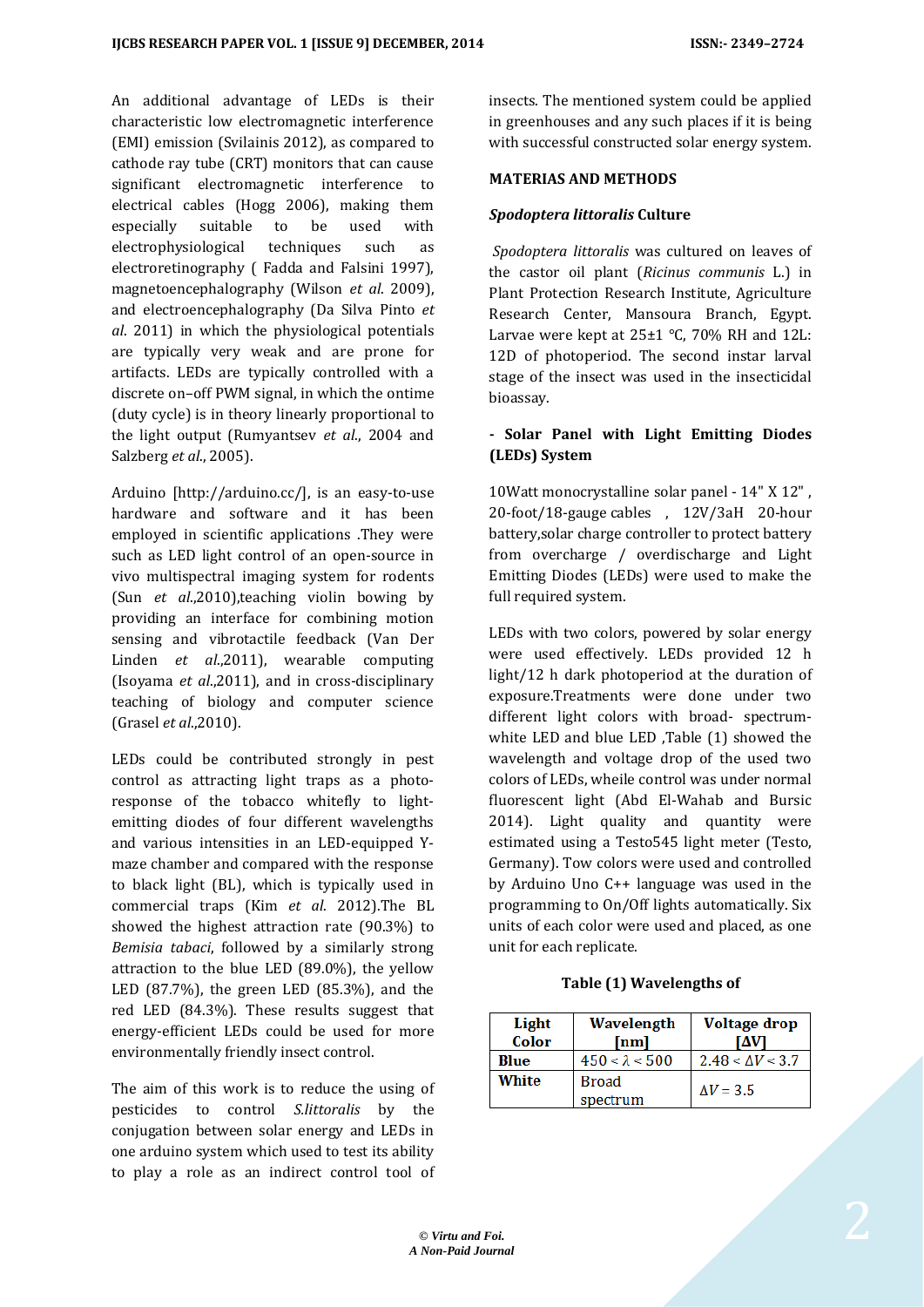An additional advantage of LEDs is their characteristic low electromagnetic interference (EMI) emission (Svilainis 2012), as compared to cathode ray tube (CRT) monitors that can cause significant electromagnetic interference to electrical cables (Hogg 2006), making them especially suitable to be used with electrophysiological techniques such as electroretinography ( Fadda and Falsini 1997), magnetoencephalography (Wilson *et al*. 2009), and electroencephalography (Da Silva Pinto *et al*. 2011) in which the physiological potentials are typically very weak and are prone for artifacts. LEDs are typically controlled with a discrete on–off PWM signal, in which the ontime (duty cycle) is in theory linearly proportional to the light output (Rumyantsev *et al*., 2004 and Salzberg *et al*., 2005).

Arduino [http://arduino.cc/], is an easy-to-use hardware and software and it has been employed in scientific applications .They were such as LED light control of an open-source in vivo multispectral imaging system for rodents (Sun *et al*.,2010),teaching violin bowing by providing an interface for combining motion sensing and vibrotactile feedback (Van Der Linden *et al*.,2011), wearable computing (Isoyama *et al*.,2011), and in cross-disciplinary teaching of biology and computer science (Grasel *et al*.,2010).

LEDs could be contributed strongly in pest control as attracting light traps as a photoresponse of the tobacco whitefly to lightemitting diodes of four different wavelengths and various intensities in an LED-equipped Ymaze chamber and compared with the response to black light (BL), which is typically used in commercial traps (Kim *et al*. 2012).The BL showed the highest attraction rate (90.3%) to *Bemisia tabaci*, followed by a similarly strong attraction to the blue LED (89.0%), the yellow LED (87.7%), the green LED (85.3%), and the red LED (84.3%). These results suggest that energy-efficient LEDs could be used for more environmentally friendly insect control.

The aim of this work is to reduce the using of pesticides to control *S.littoralis* by the conjugation between solar energy and LEDs in one arduino system which used to test its ability to play a role as an indirect control tool of insects. The mentioned system could be applied in greenhouses and any such places if it is being with successful constructed solar energy system.

#### **MATERIAS AND METHODS**

#### *Spodoptera littoralis* **Culture**

*Spodoptera littoralis* was cultured on leaves of the castor oil plant (*Ricinus communis* L.) in Plant Protection Research Institute, Agriculture Research Center, Mansoura Branch, Egypt. Larvae were kept at 25±1 °C, 70% RH and 12L: 12D of photoperiod. The second instar larval stage of the insect was used in the insecticidal bioassay.

### **- Solar Panel with Light Emitting Diodes (LEDs) System**

10Watt monocrystalline solar panel - 14" X 12" , 20-foot/18-gauge cables , 12V/3aH 20-hour battery,solar charge controller to protect battery from overcharge / overdischarge and Light Emitting Diodes (LEDs) were used to make the full required system.

LEDs with two colors, powered by solar energy were used effectively. LEDs provided 12 h light/12 h dark photoperiod at the duration of exposure.Treatments were done under two different light colors with broad- spectrumwhite LED and blue LED ,Table (1) showed the wavelength and voltage drop of the used two colors of LEDs, wheile control was under normal fluorescent light (Abd El-Wahab and Bursic 2014). Light quality and quantity were estimated using a Testo545 light meter (Testo, Germany). Tow colors were used and controlled by Arduino Uno C++ language was used in the programming to On/Off lights automatically. Six units of each color were used and placed, as one unit for each replicate.

#### **Table (1) Wavelengths of**

| Light<br>Color | Wavelength<br><b>Voltage drop</b><br>$\lceil nm \rceil$<br>ſАVI |                         |  |
|----------------|-----------------------------------------------------------------|-------------------------|--|
| Blue           | $450 < \lambda < 500$                                           | $2.48 < \Delta V < 3.7$ |  |
| White          | <b>Broad</b><br>spectrum                                        | $\Delta V = 3.5$        |  |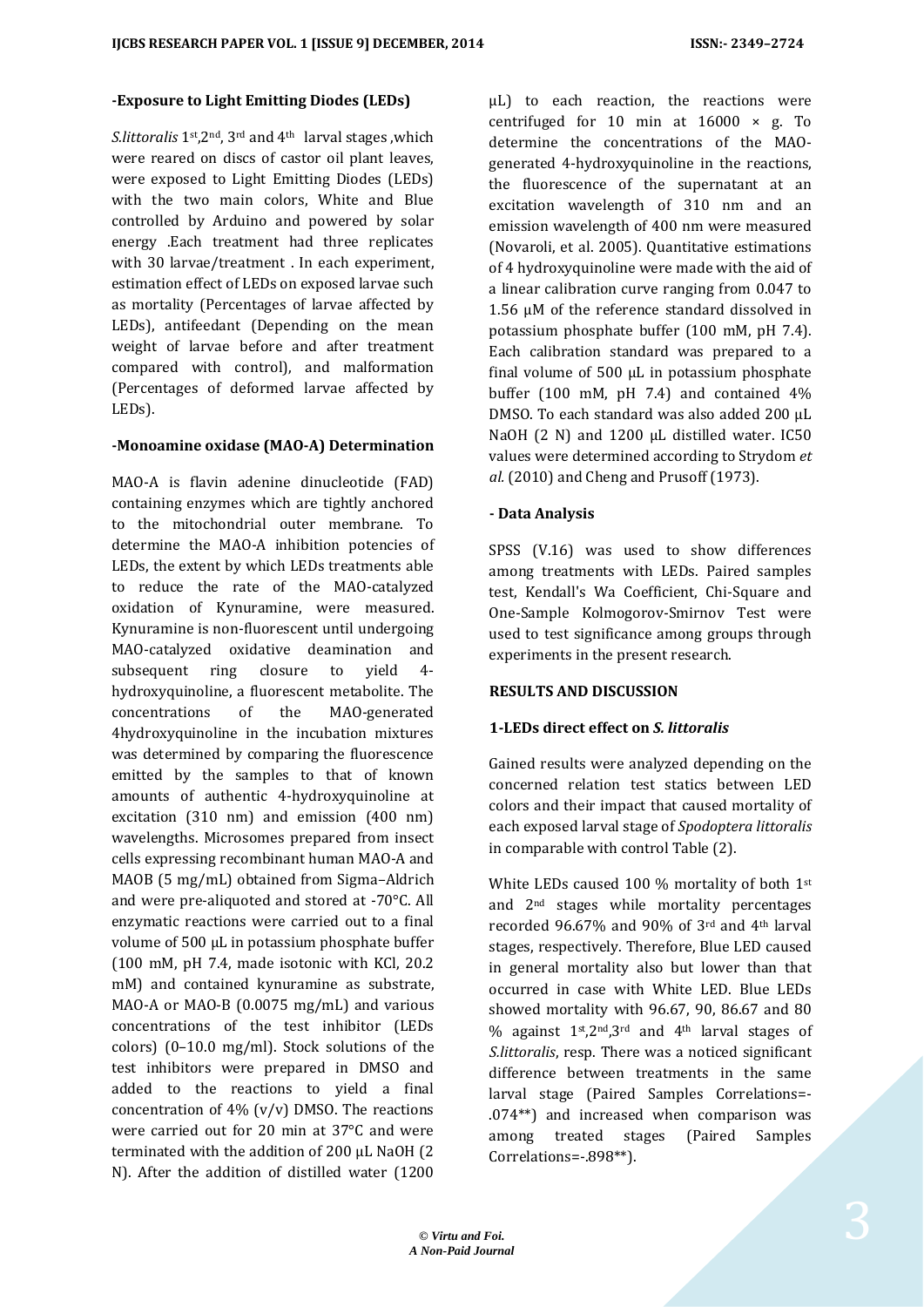#### **-Exposure to Light Emitting Diodes (LEDs)**

*S.littoralis* 1st,2nd, 3rd and 4th larval stages ,which were reared on discs of castor oil plant leaves, were exposed to Light Emitting Diodes (LEDs) with the two main colors, White and Blue controlled by Arduino and powered by solar energy .Each treatment had three replicates with 30 larvae/treatment . In each experiment, estimation effect of LEDs on exposed larvae such as mortality (Percentages of larvae affected by LEDs), antifeedant (Depending on the mean weight of larvae before and after treatment compared with control), and malformation (Percentages of deformed larvae affected by LEDs).

#### **-Monoamine oxidase (MAO-A) Determination**

MAO-A is flavin adenine dinucleotide (FAD) containing enzymes which are tightly anchored to the mitochondrial outer membrane. To determine the MAO-A inhibition potencies of LEDs, the extent by which LEDs treatments able to reduce the rate of the MAO-catalyzed oxidation of Kynuramine, were measured. Kynuramine is non-fluorescent until undergoing MAO-catalyzed oxidative deamination and subsequent ring closure to yield 4 hydroxyquinoline, a fluorescent metabolite. The concentrations of the MAO-generated 4hydroxyquinoline in the incubation mixtures was determined by comparing the fluorescence emitted by the samples to that of known amounts of authentic 4-hydroxyquinoline at excitation (310 nm) and emission (400 nm) wavelengths. Microsomes prepared from insect cells expressing recombinant human MAO-A and MAOB (5 mg/mL) obtained from Sigma–Aldrich and were pre-aliquoted and stored at -70°C. All enzymatic reactions were carried out to a final volume of 500 µL in potassium phosphate buffer (100 mM, pH 7.4, made isotonic with KCl, 20.2 mM) and contained kynuramine as substrate, MAO-A or MAO-B (0.0075 mg/mL) and various concentrations of the test inhibitor (LEDs colors) (0–10.0 mg/ml). Stock solutions of the test inhibitors were prepared in DMSO and added to the reactions to yield a final concentration of  $4\%$  (v/v) DMSO. The reactions were carried out for 20 min at 37°C and were terminated with the addition of 200 µL NaOH (2 N). After the addition of distilled water (1200

µL) to each reaction, the reactions were centrifuged for 10 min at  $16000 \times g$ . To determine the concentrations of the MAOgenerated 4-hydroxyquinoline in the reactions, the fluorescence of the supernatant at an excitation wavelength of 310 nm and an emission wavelength of 400 nm were measured (Novaroli, et al. 2005). Quantitative estimations of 4 hydroxyquinoline were made with the aid of a linear calibration curve ranging from 0.047 to 1.56 µM of the reference standard dissolved in potassium phosphate buffer (100 mM, pH 7.4). Each calibration standard was prepared to a final volume of  $500 \mu L$  in potassium phosphate buffer (100 mM, pH 7.4) and contained 4% DMSO. To each standard was also added 200 µL NaOH (2 N) and 1200 µL distilled water. IC50 values were determined according to Strydom *et al.* (2010) and Cheng and Prusoff (1973).

## **- Data Analysis**

SPSS (V.16) was used to show differences among treatments with LEDs. Paired samples test, Kendall's Wa Coefficient, Chi-Square and One-Sample Kolmogorov-Smirnov Test were used to test significance among groups through experiments in the present research.

#### **RESULTS AND DISCUSSION**

## **1-LEDs direct effect on** *S. littoralis*

Gained results were analyzed depending on the concerned relation test statics between LED colors and their impact that caused mortality of each exposed larval stage of *Spodoptera littoralis* in comparable with control Table (2).

White LEDs caused 100 % mortality of both 1st and 2nd stages while mortality percentages recorded 96.67% and 90% of 3rd and 4th larval stages, respectively. Therefore, Blue LED caused in general mortality also but lower than that occurred in case with White LED. Blue LEDs showed mortality with 96.67, 90, 86.67 and 80 % against 1st,2nd,3rd and 4th larval stages of *S.littoralis*, resp. There was a noticed significant difference between treatments in the same larval stage (Paired Samples Correlations=- .074\*\*) and increased when comparison was among treated stages (Paired Samples Correlations=-.898\*\*).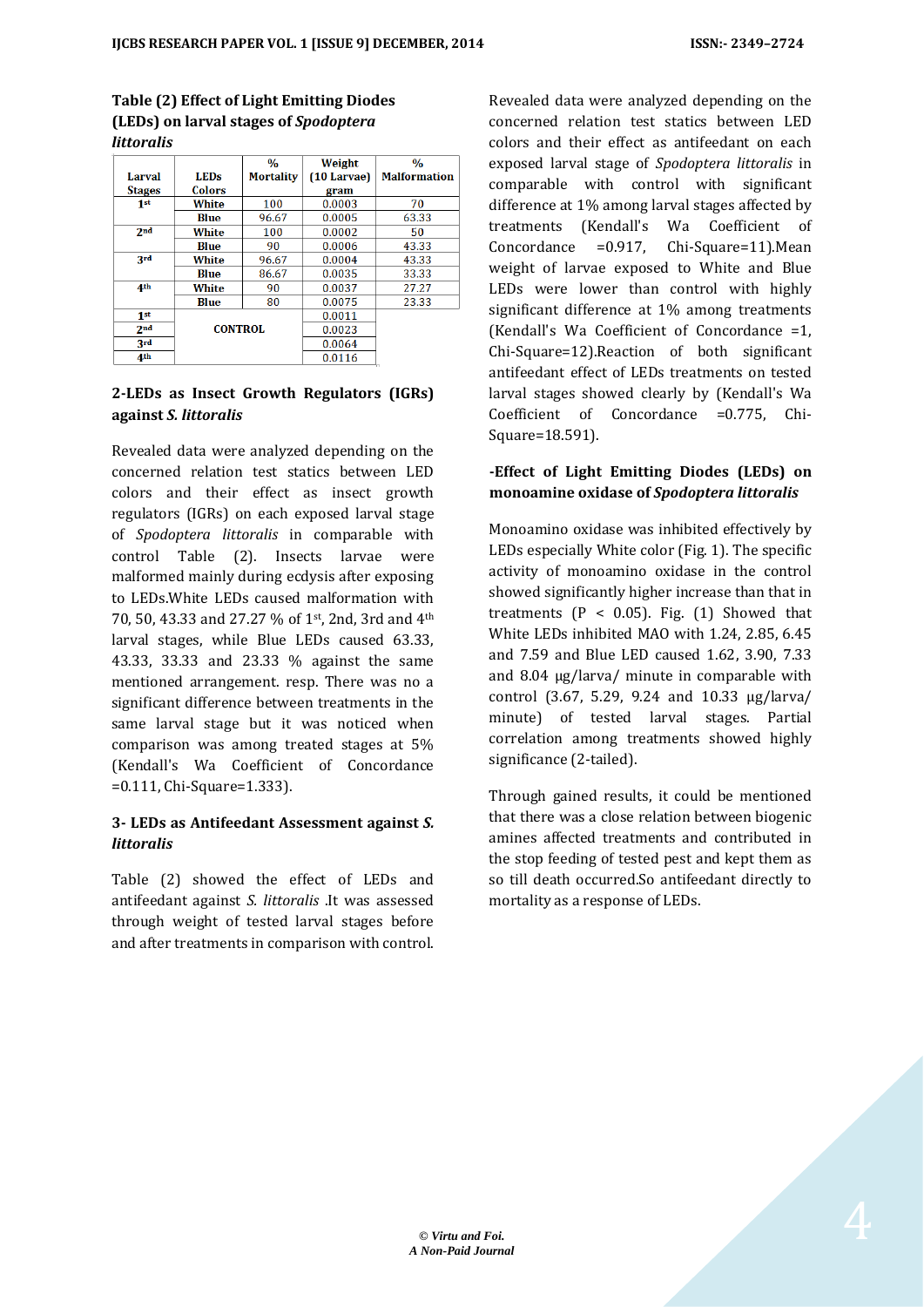#### **Table (2) Effect of Light Emitting Diodes (LEDs) on larval stages of** *Spodoptera littoralis*

|                 |                | $\frac{0}{0}$    | Weight      | $\frac{0}{0}$       |
|-----------------|----------------|------------------|-------------|---------------------|
| Larval          | <b>LEDs</b>    | <b>Mortality</b> | (10 Larvae) | <b>Malformation</b> |
| <b>Stages</b>   | <b>Colors</b>  |                  | gram        |                     |
| 1 <sup>st</sup> | White          | 100              | 0.0003      | 70                  |
|                 | Blue           | 96.67            | 0.0005      | 63.33               |
| 2 <sub>nd</sub> | White          | 100              | 0.0002      | 50                  |
|                 | Blue           | 90               | 0.0006      | 43.33               |
| 3rd             | White          | 96.67            | 0.0004      | 43.33               |
|                 | Blue           | 86.67            | 0.0035      | 33.33               |
| 4 <sup>th</sup> | White          | 90               | 0.0037      | 27.27               |
|                 | Blue           | 80               | 0.0075      | 23.33               |
| 1 <sup>st</sup> |                |                  | 0.0011      |                     |
| 2 <sub>nd</sub> | <b>CONTROL</b> |                  | 0.0023      |                     |
| <b>3rd</b>      |                |                  | 0.0064      |                     |
| 4 <sup>th</sup> |                |                  | 0.0116      |                     |

## **2-LEDs as Insect Growth Regulators (IGRs) against** *S. littoralis*

Revealed data were analyzed depending on the concerned relation test statics between LED colors and their effect as insect growth regulators (IGRs) on each exposed larval stage of *Spodoptera littoralis* in comparable with control Table (2). Insects larvae were malformed mainly during ecdysis after exposing to LEDs.White LEDs caused malformation with 70, 50, 43.33 and 27.27 % of 1st, 2nd, 3rd and 4th larval stages, while Blue LEDs caused 63.33, 43.33, 33.33 and 23.33 % against the same mentioned arrangement. resp. There was no a significant difference between treatments in the same larval stage but it was noticed when comparison was among treated stages at 5% (Kendall's Wa Coefficient of Concordance =0.111, Chi-Square=1.333).

## **3- LEDs as Antifeedant Assessment against** *S. littoralis*

Table (2) showed the effect of LEDs and antifeedant against *S. littoralis* .It was assessed through weight of tested larval stages before and after treatments in comparison with control.

Revealed data were analyzed depending on the concerned relation test statics between LED colors and their effect as antifeedant on each exposed larval stage of *Spodoptera littoralis* in comparable with control with significant difference at 1% among larval stages affected by treatments (Kendall's Wa Coefficient of Concordance =0.917, Chi-Square=11).Mean weight of larvae exposed to White and Blue LEDs were lower than control with highly significant difference at 1% among treatments (Kendall's Wa Coefficient of Concordance =1, Chi-Square=12).Reaction of both significant antifeedant effect of LEDs treatments on tested larval stages showed clearly by (Kendall's Wa Coefficient of Concordance =0.775, Chi-Square=18.591).

## **-Effect of Light Emitting Diodes (LEDs) on monoamine oxidase of** *Spodoptera littoralis*

Monoamino oxidase was inhibited effectively by LEDs especially White color (Fig. 1). The specific activity of monoamino oxidase in the control showed significantly higher increase than that in treatments  $(P < 0.05)$ . Fig.  $(1)$  Showed that White LEDs inhibited MAO with 1.24, 2.85, 6.45 and 7.59 and Blue LED caused 1.62, 3.90, 7.33 and 8.04 μg/larva/ minute in comparable with control (3.67, 5.29, 9.24 and 10.33 μg/larva/ minute) of tested larval stages. Partial correlation among treatments showed highly significance (2-tailed).

Through gained results, it could be mentioned that there was a close relation between biogenic amines affected treatments and contributed in the stop feeding of tested pest and kept them as so till death occurred.So antifeedant directly to mortality as a response of LEDs.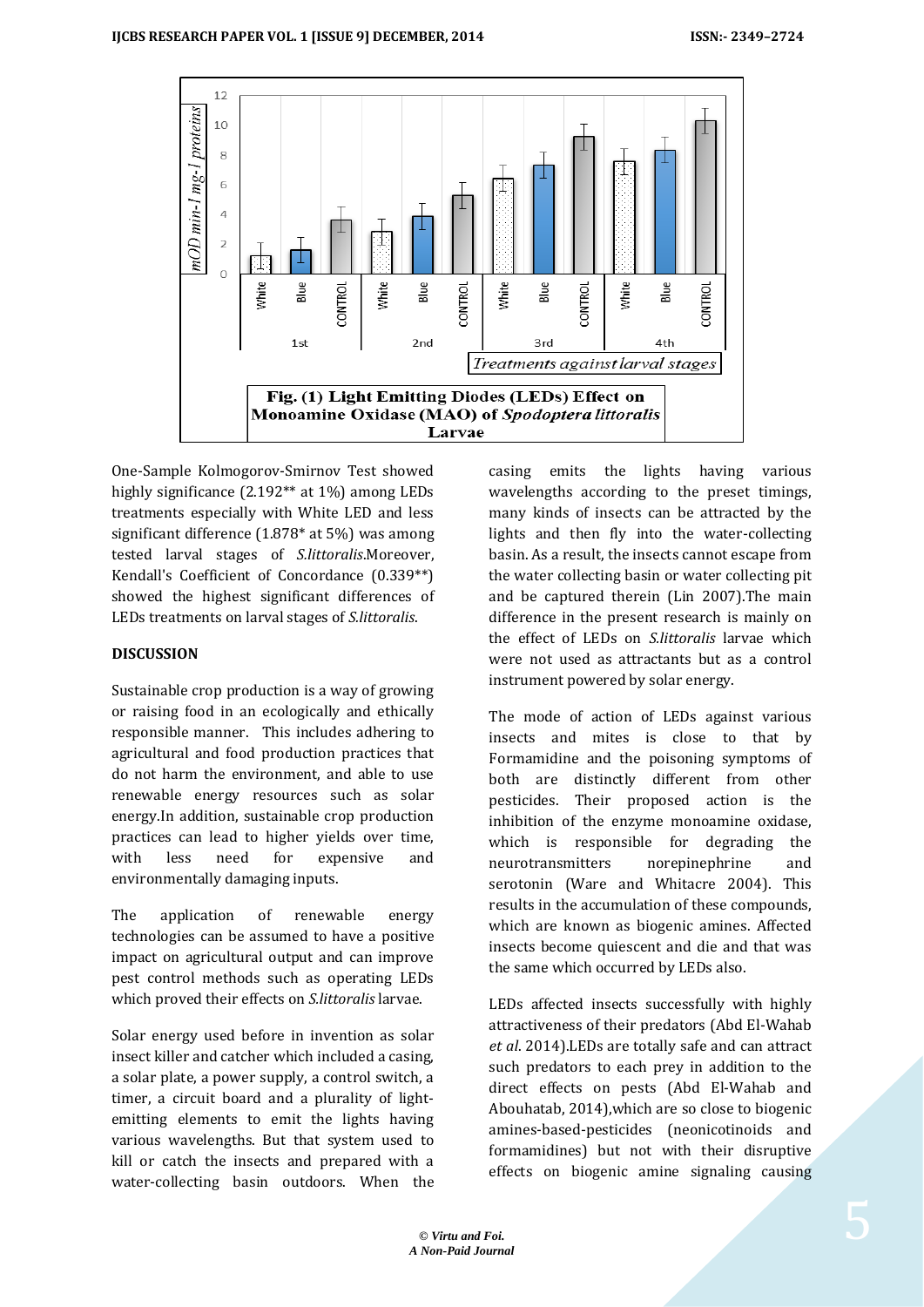

One-Sample Kolmogorov-Smirnov Test showed highly significance (2.192<sup>\*\*</sup> at 1%) among LEDs treatments especially with White LED and less significant difference (1.878\* at 5%) was among tested larval stages of *S.littoralis*.Moreover, Kendall's Coefficient of Concordance (0.339\*\*) showed the highest significant differences of LEDs treatments on larval stages of *S.littoralis*.

## **DISCUSSION**

Sustainable crop production is a way of growing or raising food in an ecologically and ethically responsible manner. This includes adhering to agricultural and food production practices that do not harm the environment, and able to use renewable energy resources such as solar energy.In addition, sustainable crop production practices can lead to higher yields over time, with less need for expensive and environmentally damaging inputs.

The application of renewable energy technologies can be assumed to have a positive impact on agricultural output and can improve pest control methods such as operating LEDs which proved their effects on *S.littoralis* larvae.

Solar energy used before in invention as solar insect killer and catcher which included a casing, a solar plate, a power supply, a control switch, a timer, a circuit board and a plurality of lightemitting elements to emit the lights having various wavelengths. But that system used to kill or catch the insects and prepared with a water-collecting basin outdoors. When the

casing emits the lights having various wavelengths according to the preset timings, many kinds of insects can be attracted by the lights and then fly into the water-collecting basin. As a result, the insects cannot escape from the water collecting basin or water collecting pit and be captured therein (Lin 2007).The main difference in the present research is mainly on the effect of LEDs on *S.littoralis* larvae which were not used as attractants but as a control instrument powered by solar energy.

The mode of action of LEDs against various insects and mites is close to that by Formamidine and the poisoning symptoms of both are distinctly different from other pesticides. Their proposed action is the inhibition of the enzyme monoamine oxidase, which is responsible for degrading the neurotransmitters norepinephrine and serotonin (Ware and Whitacre 2004). This results in the accumulation of these compounds, which are known as biogenic amines. Affected insects become quiescent and die and that was the same which occurred by LEDs also.

LEDs affected insects successfully with highly attractiveness of their predators (Abd El-Wahab *et al*. 2014).LEDs are totally safe and can attract such predators to each prey in addition to the direct effects on pests (Abd El-Wahab and Abouhatab, 2014),which are so close to biogenic amines-based-pesticides (neonicotinoids and formamidines) but not with their disruptive effects on biogenic amine signaling causing

5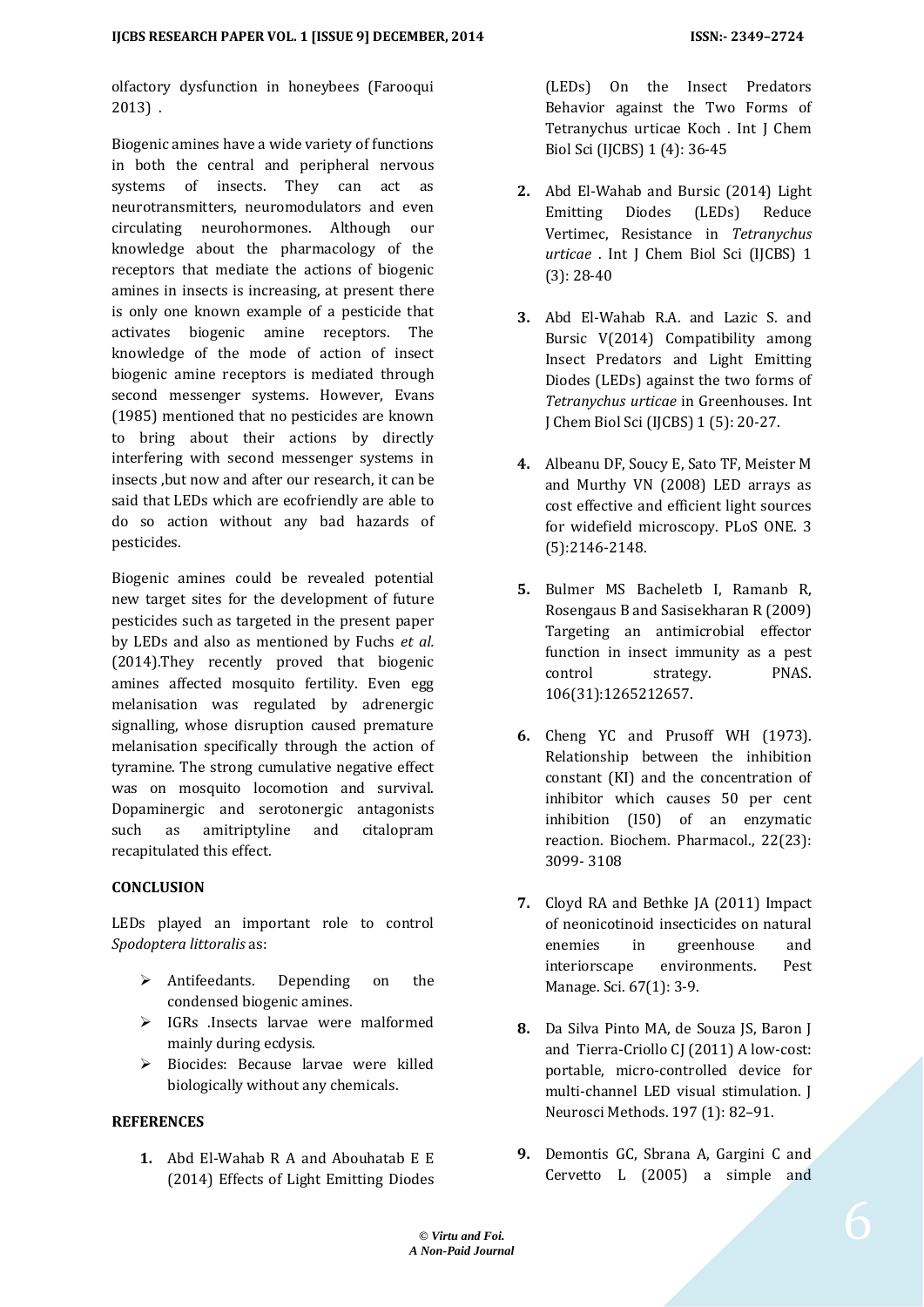olfactory dysfunction in honeybees (Farooqui 2013) .

Biogenic amines have a wide variety of functions in both the central and peripheral nervous systems of insects. They can act as neurotransmitters, neuromodulators and even circulating neurohormones. Although our knowledge about the pharmacology of the receptors that mediate the actions of biogenic amines in insects is increasing, at present there is only one known example of a pesticide that activates biogenic amine receptors. The knowledge of the mode of action of insect biogenic amine receptors is mediated through second messenger systems. However, Evans (1985) mentioned that no pesticides are known to bring about their actions by directly interfering with second messenger systems in insects ,but now and after our research, it can be said that LEDs which are ecofriendly are able to do so action without any bad hazards of pesticides.

Biogenic amines could be revealed potential new target sites for the development of future pesticides such as targeted in the present paper by LEDs and also as mentioned by Fuchs *et al.* (2014).They recently proved that biogenic amines affected mosquito fertility. Even egg melanisation was regulated by adrenergic signalling, whose disruption caused premature melanisation specifically through the action of tyramine. The strong cumulative negative effect was on mosquito locomotion and survival. Dopaminergic and serotonergic antagonists such as amitriptyline and citalopram recapitulated this effect.

#### **CONCLUSION**

LEDs played an important role to control *Spodoptera littoralis* as:

- $\triangleright$  Antifeedants. Depending on the condensed biogenic amines.
- IGRs .Insects larvae were malformed mainly during ecdysis.
- Biocides: Because larvae were killed biologically without any chemicals.

## **REFERENCES**

**1.** Abd El-Wahab R A and Abouhatab E E (2014) Effects of Light Emitting Diodes (LEDs) On the Insect Predators Behavior against the Two Forms of Tetranychus urticae Koch . Int J Chem Biol Sci (IJCBS) 1 (4): 36-45

- **2.** Abd El-Wahab and Bursic (2014) Light Emitting Diodes (LEDs) Reduce Vertimec, Resistance in *Tetranychus urticae* . Int J Chem Biol Sci (IJCBS) 1 (3): 28-40
- **3.** Abd El-Wahab R.A. and Lazic S. and Bursic V(2014) Compatibility among Insect Predators and Light Emitting Diodes (LEDs) against the two forms of *Tetranychus urticae* in Greenhouses. Int J Chem Biol Sci (IJCBS) 1 (5): 20-27.
- **4.** Albeanu DF, Soucy E, Sato TF, Meister M and Murthy VN (2008) LED arrays as cost effective and efficient light sources for widefield microscopy. PLoS ONE. 3 (5):2146-2148.
- **5.** Bulmer MS Bacheletb I, Ramanb R, Rosengaus B and Sasisekharan R (2009) Targeting an antimicrobial effector function in insect immunity as a pest control strategy. PNAS. 106(31):1265212657.
- **6.** Cheng YC and Prusoff WH (1973). Relationship between the inhibition constant (KI) and the concentration of inhibitor which causes 50 per cent inhibition (I50) of an enzymatic reaction. Biochem. Pharmacol., 22(23): 3099- 3108
- **7.** Cloyd RA and Bethke JA (2011) Impact of neonicotinoid insecticides on natural enemies in greenhouse and interiorscape environments. Pest Manage. Sci. 67(1): 3-9.
- **8.** Da Silva Pinto MA, de Souza JS, Baron J and Tierra-Criollo CJ (2011) A low-cost: portable, micro-controlled device for multi-channel LED visual stimulation. J Neurosci Methods. 197 (1): 82–91.
- **9.** Demontis GC, Sbrana A, Gargini C and Cervetto L (2005) a simple and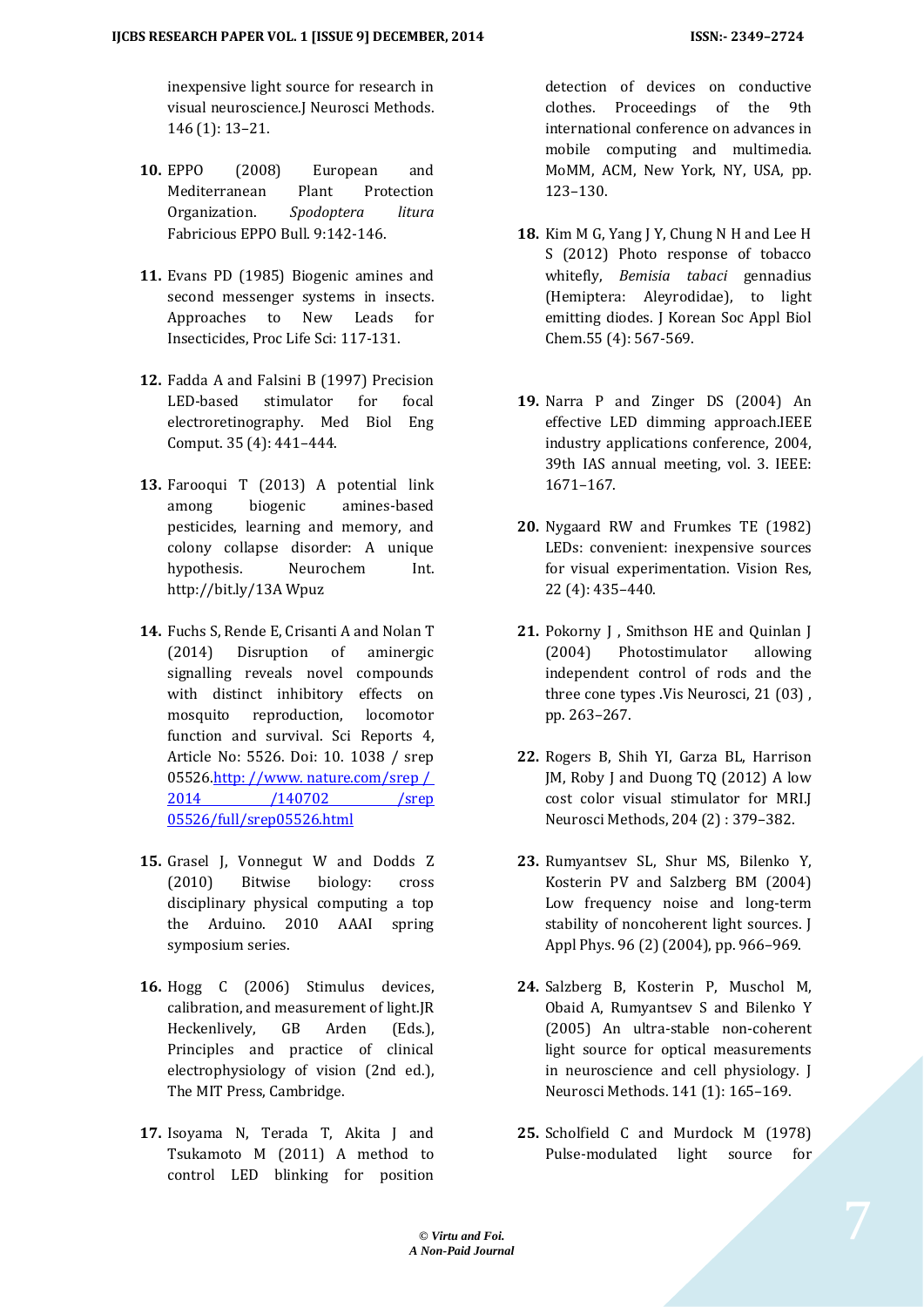inexpensive light source for research in visual neuroscience.J Neurosci Methods. 146 (1): 13–21.

- **10.** EPPO (2008) European and Mediterranean Plant Protection Organization. *Spodoptera litura* Fabricious EPPO Bull. 9:142-146.
- **11.** Evans PD (1985) Biogenic amines and second messenger systems in insects. Approaches to New Leads for Insecticides, Proc Life Sci: 117-131.
- **12.** Fadda A and Falsini B (1997) Precision LED-based stimulator for focal electroretinography. Med Biol Eng Comput. 35 (4): 441–444.
- **13.** Farooqui T (2013) A potential link among biogenic amines-based pesticides, learning and memory, and colony collapse disorder: A unique hypothesis. Neurochem Int. http://bit.ly/13A Wpuz
- **14.** Fuchs S, Rende E, Crisanti A and Nolan T (2014) Disruption of aminergic signalling reveals novel compounds with distinct inhibitory effects on mosquito reproduction, locomotor function and survival. Sci Reports 4, Article No: 5526. Doi: 10. 1038 / srep 05526.http://www.nature.com/srep/ 2014 [/140702](http://www.nature.com/srep%20/%202014/140702/srep05526/full/srep05526.html) /srep [05526/full/srep05526.html](http://www.nature.com/srep%20/%202014/140702/srep05526/full/srep05526.html)
- **15.** Grasel J, Vonnegut W and Dodds Z (2010) Bitwise biology: cross disciplinary physical computing a top the Arduino. 2010 AAAI spring symposium series.
- **16.** Hogg C (2006) Stimulus devices, calibration, and measurement of light.JR Heckenlively, GB Arden (Eds.), Principles and practice of clinical electrophysiology of vision (2nd ed.), The MIT Press, Cambridge.
- **17.** Isoyama N, Terada T, Akita J and Tsukamoto M (2011) A method to control LED blinking for position

detection of devices on conductive clothes. Proceedings of the 9th international conference on advances in mobile computing and multimedia. MoMM, ACM, New York, NY, USA, pp. 123–130.

- **18.** Kim M G, Yang J Y, Chung N H and Lee H S (2012) Photo response of tobacco whitefly, *Bemisia tabaci* gennadius (Hemiptera: Aleyrodidae), to light emitting diodes. J Korean Soc Appl Biol Chem.55 (4): 567-569.
- **19.** Narra P and Zinger DS (2004) An effective LED dimming approach.IEEE industry applications conference, 2004, 39th IAS annual meeting, vol. 3. IEEE: 1671–167.
- **20.** Nygaard RW and Frumkes TE (1982) LEDs: convenient: inexpensive sources for visual experimentation. Vision Res, 22 (4): 435–440.
- 21. Pokorny J. Smithson HE and Quinlan J (2004) Photostimulator allowing independent control of rods and the three cone types .Vis Neurosci, 21 (03) , pp. 263–267.
- **22.** Rogers B, Shih YI, Garza BL, Harrison JM, Roby J and Duong TQ (2012) A low cost color visual stimulator for MRI.J Neurosci Methods, 204 (2) : 379–382.
- **23.** Rumyantsev SL, Shur MS, Bilenko Y, Kosterin PV and Salzberg BM (2004) Low frequency noise and long-term stability of noncoherent light sources. J Appl Phys. 96 (2) (2004), pp. 966–969.
- **24.** Salzberg B, Kosterin P, Muschol M, Obaid A, Rumyantsev S and Bilenko Y (2005) An ultra-stable non-coherent light source for optical measurements in neuroscience and cell physiology. J Neurosci Methods. 141 (1): 165–169.
- **25.** Scholfield C and Murdock M (1978) Pulse-modulated light source for